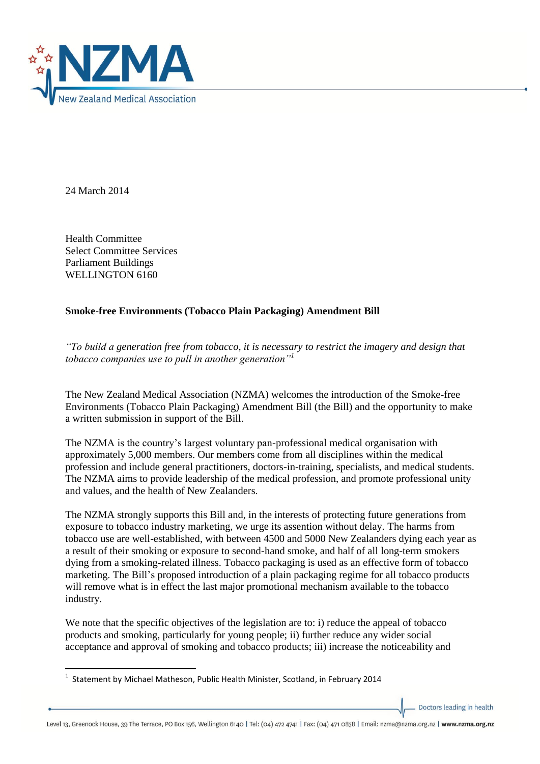

24 March 2014

Health Committee Select Committee Services Parliament Buildings WELLINGTON 6160

## **Smoke-free Environments (Tobacco Plain Packaging) Amendment Bill**

*"To build a generation free from tobacco, it is necessary to restrict the imagery and design that tobacco companies use to pull in another generation"<sup>1</sup>*

The New Zealand Medical Association (NZMA) welcomes the introduction of the Smoke-free Environments (Tobacco Plain Packaging) Amendment Bill (the Bill) and the opportunity to make a written submission in support of the Bill.

The NZMA is the country's largest voluntary pan-professional medical organisation with approximately 5,000 members. Our members come from all disciplines within the medical profession and include general practitioners, doctors-in-training, specialists, and medical students. The NZMA aims to provide leadership of the medical profession, and promote professional unity and values, and the health of New Zealanders.

The NZMA strongly supports this Bill and, in the interests of protecting future generations from exposure to tobacco industry marketing, we urge its assention without delay. The harms from tobacco use are well-established, with between 4500 and 5000 New Zealanders dying each year as a result of their smoking or exposure to second-hand smoke, and half of all long-term smokers dying from a smoking-related illness. Tobacco packaging is used as an effective form of tobacco marketing. The Bill's proposed introduction of a plain packaging regime for all tobacco products will remove what is in effect the last major promotional mechanism available to the tobacco industry.

We note that the specific objectives of the legislation are to: i) reduce the appeal of tobacco products and smoking, particularly for young people; ii) further reduce any wider social acceptance and approval of smoking and tobacco products; iii) increase the noticeability and

Doctors leading in health

 1 Statement by Michael Matheson, Public Health Minister, Scotland, in February 2014